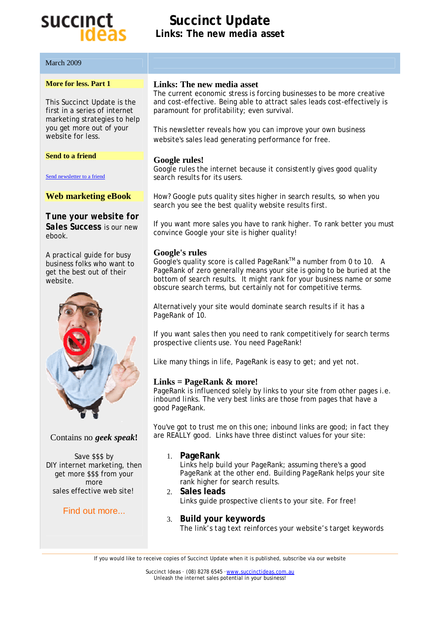# succinct

get more \$\$\$ from your more sales effective web site!

Find out more...

March 2009

## **Succinct Update Links: The** *new media* **asset**

| <b>More for less. Part 1</b>                                                                      | Links: The new media asset                                                                                                                                                                                                                                                                                         |
|---------------------------------------------------------------------------------------------------|--------------------------------------------------------------------------------------------------------------------------------------------------------------------------------------------------------------------------------------------------------------------------------------------------------------------|
| This Succinct Update is the<br>first in a series of internet<br>marketing strategies to help      | The current economic stress is forcing businesses to be more creative<br>and cost-effective. Being able to attract sales leads cost-effectively is<br>paramount for profitability; even survival.                                                                                                                  |
| you get more out of your<br>website for less.                                                     | This newsletter reveals how you can improve your own business<br>website's sales lead generating performance for free.                                                                                                                                                                                             |
| <b>Send to a friend</b>                                                                           |                                                                                                                                                                                                                                                                                                                    |
| Send newsletter to a friend                                                                       | Google rules!<br>Google rules the internet because it consistently gives good quality<br>search results for its users.                                                                                                                                                                                             |
| <b>Web marketing eBook</b>                                                                        | How? Google puts quality sites higher in search results, so when you<br>search you see the best quality website results first.                                                                                                                                                                                     |
| Tune your website for<br>Sales Success is our new<br>ebook.                                       | If you want more sales you have to rank higher. To rank better you must<br>convince Google your site is higher quality!                                                                                                                                                                                            |
| A practical guide for busy<br>business folks who want to<br>get the best out of their<br>website. | <b>Google's rules</b><br>Google's quality score is called PageRank™a number from 0 to 10. A<br>PageRank of zero generally means your site is going to be buried at the<br>bottom of search results. It might rank for your business name or some<br>obscure search terms, but certainly not for competitive terms. |
|                                                                                                   | Alternatively your site would dominate search results if it has a<br>PageRank of 10.                                                                                                                                                                                                                               |
|                                                                                                   | If you want sales then you need to rank competitively for search terms<br>prospective clients use. You need PageRank!                                                                                                                                                                                              |
|                                                                                                   | Like many things in life, PageRank is easy to get; and yet not.                                                                                                                                                                                                                                                    |
|                                                                                                   | Links = PageRank $\&$ more!<br>PageRank is influenced solely by links to your site from other pages i.e.<br>inbound links. The very best links are those from pages that have a<br>good PageRank.                                                                                                                  |
| Contains no geek speak!                                                                           | You've got to trust me on this one; inbound links are good; in fact they<br>are REALLY good. Links have three distinct values for your site:                                                                                                                                                                       |
| Save \$\$\$ by<br>DIY internet marketing, then                                                    | 1. PageRank<br>Links help build your PageRank; assuming there's a good                                                                                                                                                                                                                                             |

Links help build your PageRank; assuming there's a good PageRank at the other end. Building PageRank helps your site rank higher for search results.

- 2. **Sales leads** Links guide prospective clients to your site. For free!
- 3. **Build your keywords** The link's *tag text* reinforces your website's target keywords

If you would like to receive copies of Succinct Update when it is published, subscribe via our website

Succinct Ideas · (08) 8278 6545 · www.succinctideas.com.au Unleash the internet sales potential in your business!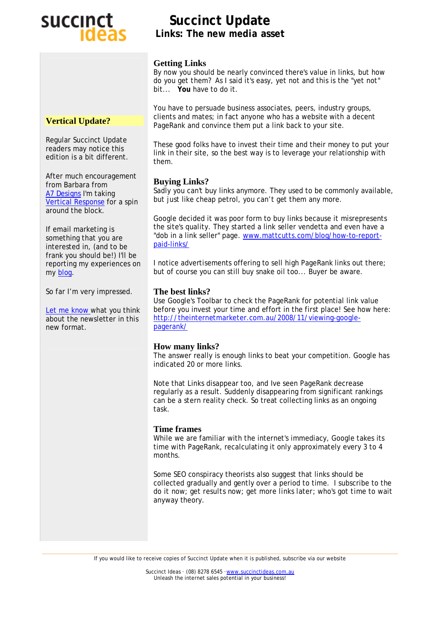# succinct

## **Succinct Update Links: The** *new media* **asset**

#### **Getting Links**

By now you should be nearly convinced there's value in links, but how do you *get them*? As I said *it's easy, yet not* and this is the *"yet not"* bit... **You** have to do it.

You have to persuade business associates, peers, industry groups, clients and mates; in fact anyone who has a website with a decent PageRank and convince them put a link back to your site.

These good folks have to invest their time and their money to put your link in their site, so the best way is to leverage your relationship with them.

### **Buying Links?**

Sadly you can't buy links anymore. They used to be commonly available, but just like cheap petrol, you can't get them any more.

Google decided it was poor form to buy links because it misrepresents the site's quality. They started a link seller vendetta and even have a "dob in a link seller" page. [www.mattcutts.com/blog/how-to-report](http://www.mattcutts.com/blog/how-to-report)paid-links/

I notice advertisements offering to sell high PageRank links out there; but of course you can still buy snake oil too... Buyer be aware.

### **The best links?**

Use Google's Toolbar to check the PageRank for potential link value before you invest your time and effort in the first place! See how here: <http://theinternetmarketer.com.au/2008/11/viewing-google>pagerank/

### **How many links?**

The answer really is enough links to beat your competition. Google has indicated 20 or more links.

Note that Links disappear too, and Ive seen PageRank decrease regularly as a result. Suddenly disappearing from significant rankings can be a stern reality check. So treat collecting links as an ongoing task.

#### **Time frames**

While we are familiar with the internet's immediacy, Google takes its time with PageRank, recalculating it only approximately every 3 to 4 months.

Some SEO conspiracy theorists also suggest that links should be collected gradually and gently over a period to time. I subscribe to the *do it now; get results now; get more links later; who's got time to wait anyway* theory.

Succinct Ideas · (08) 8278 6545 · www.succinctideas.com.au Unleash the internet sales potential in your business!

#### **Vertical Update?**

Regular Succinct Update readers may notice this edition is a bit different.

After much encouragement from Barbara from A7 Designs I'm taking Vertical Response for a spin around the block.

If email marketing is something that you are interested in, (and to be frank you should be!) I'll be reporting my experiences on my blog.

So far I'm very impressed.

Let me know what you think about the newsletter in this new format.

If you would like to receive copies of Succinct Update when it is published, subscribe via our website